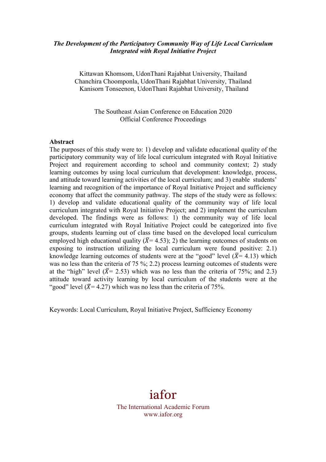## *The Development of the Participatory Community Way of Life Local Curriculum Integrated with Royal Initiative Project*

Kittawan Khomsom, UdonThani Rajabhat University, Thailand Chanchira Choomponla, UdonThani Rajabhat University, Thailand Kanisorn Tonseenon, UdonThani Rajabhat University, Thailand

> The Southeast Asian Conference on Education 2020 Official Conference Proceedings

#### **Abstract**

The purposes of this study were to: 1) develop and validate educational quality of the participatory community way of life local curriculum integrated with Royal Initiative Project and requirement according to school and community context; 2) study learning outcomes by using local curriculum that development: knowledge, process, and attitude toward learning activities of the local curriculum; and 3) enable students' learning and recognition of the importance of Royal Initiative Project and sufficiency economy that affect the community pathway. The steps of the study were as follows: 1) develop and validate educational quality of the community way of life local curriculum integrated with Royal Initiative Project; and 2) implement the curriculum developed. The findings were as follows: 1) the community way of life local curriculum integrated with Royal Initiative Project could be categorized into five groups, students learning out of class time based on the developed local curriculum employed high educational quality ( $\overline{X}$ = 4.53); 2) the learning outcomes of students on exposing to instruction utilizing the local curriculum were found positive: 2.1) knowledge learning outcomes of students were at the "good" level ( $\overline{X}$ = 4.13) which was no less than the criteria of 75 %; 2.2) process learning outcomes of students were at the "high" level ( $\bar{X}$ = 2.53) which was no less than the criteria of 75%; and 2.3) attitude toward activity learning by local curriculum of the students were at the "good" level ( $\bar{X}$ = 4.27) which was no less than the criteria of 75%.

Keywords: Local Curriculum, Royal Initiative Project, Sufficiency Economy

iafor The International Academic Forum www.iafor.org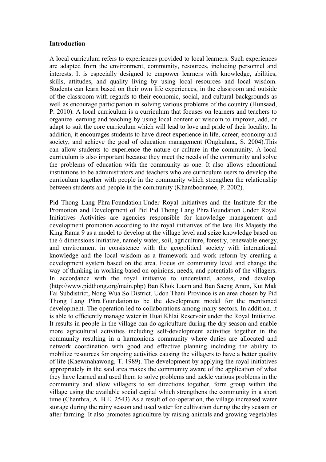#### **Introduction**

A local curriculum refers to experiences provided to local learners. Such experiences are adapted from the environment, community, resources, including personnel and interests. It is especially designed to empower learners with knowledge, abilities, skills, attitudes, and quality living by using local resources and local wisdom. Students can learn based on their own life experiences, in the classroom and outside of the classroom with regards to their economic, social, and cultural backgrounds as well as encourage participation in solving various problems of the country (Hunsaad, P. 2010). A local curriculum is a curriculum that focuses on learners and teachers to organize learning and teaching by using local content or wisdom to improve, add, or adapt to suit the core curriculum which will lead to love and pride of their locality. In addition, it encourages students to have direct experience in life, career, economy and society, and achieve the goal of education management (Ongkulana, S. 2004).This can allow students to experience the nature or culture in the community. A local curriculum is also important because they meet the needs of the community and solve the problems of education with the community as one. It also allows educational institutions to be administrators and teachers who are curriculum users to develop the curriculum together with people in the community which strengthen the relationship between students and people in the community (Khamboonmee, P. 2002).

Pid Thong Lang Phra Foundation Under Royal initiatives and the Institute for the Promotion and Development of Pid Pid Thong Lang Phra Foundation Under Royal Initiatives Activities are agencies responsible for knowledge management and development promotion according to the royal initiatives of the late His Majesty the King Rama 9 as a model to develop at the village level and seize knowledge based on the 6 dimensions initiative, namely water, soil, agriculture, forestry, renewable energy, and environment in consistence with the geopolitical society with international knowledge and the local wisdom as a framework and work reform by creating a development system based on the area. Focus on community level and change the way of thinking in working based on opinions, needs, and potentials of the villagers. In accordance with the royal initiative to understand, access, and develop. (http://www.pidthong.org/main.php) Ban Khok Laam and Ban Saeng Aram, Kut Mak Fai Subdistrict, Nong Wua So District, Udon Thani Province is an area chosen by Pid Thong Lang Phra Foundation to be the development model for the mentioned development. The operation led to collaborations among many sectors. In addition, it is able to efficiently manage water in Huai Khlai Reservoir under the Royal Initiative. It results in people in the village can do agriculture during the dry season and enable more agricultural activities including self-development activities together in the community resulting in a harmonious community where duties are allocated and network coordination with good and effective planning including the ability to mobilize resources for ongoing activities causing the villagers to have a better quality of life (Kaewmahawong, T. 1989). The development by applying the royal initiatives appropriately in the said area makes the community aware of the application of what they have learned and used them to solve problems and tackle various problems in the community and allow villagers to set directions together, form group within the village using the available social capital which strengthens the community in a short time (Chanthra, A. B.E. 2543) As a result of co-operation, the village increased water storage during the rainy season and used water for cultivation during the dry season or after farming. It also promotes agriculture by raising animals and growing vegetables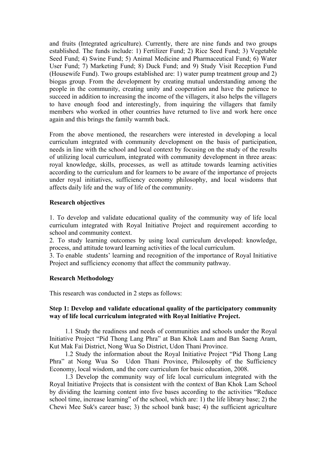and fruits (Integrated agriculture). Currently, there are nine funds and two groups established. The funds include: 1) Fertilizer Fund; 2) Rice Seed Fund; 3) Vegetable Seed Fund; 4) Swine Fund; 5) Animal Medicine and Pharmaceutical Fund; 6) Water User Fund; 7) Marketing Fund; 8) Duck Fund; and 9) Study Visit Reception Fund (Housewife Fund). Two groups established are: 1) water pump treatment group and 2) biogas group. From the development by creating mutual understanding among the people in the community, creating unity and cooperation and have the patience to succeed in addition to increasing the income of the villagers, it also helps the villagers to have enough food and interestingly, from inquiring the villagers that family members who worked in other countries have returned to live and work here once again and this brings the family warmth back.

From the above mentioned, the researchers were interested in developing a local curriculum integrated with community development on the basis of participation, needs in line with the school and local context by focusing on the study of the results of utilizing local curriculum, integrated with community development in three areas: royal knowledge, skills, processes, as well as attitude towards learning activities according to the curriculum and for learners to be aware of the importance of projects under royal initiatives, sufficiency economy philosophy, and local wisdoms that affects daily life and the way of life of the community.

### **Research objectives**

1. To develop and validate educational quality of the community way of life local curriculum integrated with Royal Initiative Project and requirement according to school and community context.

2. To study learning outcomes by using local curriculum developed: knowledge, process, and attitude toward learning activities of the local curriculum.

3. To enable students' learning and recognition of the importance of Royal Initiative Project and sufficiency economy that affect the community pathway.

### **Research Methodology**

This research was conducted in 2 steps as follows:

### **Step 1: Develop and validate educational quality of the participatory community way of life local curriculum integrated with Royal Initiative Project.**

1.1 Study the readiness and needs of communities and schools under the Royal Initiative Project "Pid Thong Lang Phra" at Ban Khok Laam and Ban Saeng Aram, Kut Mak Fai District, Nong Wua So District, Udon Thani Province.

1.2 Study the information about the Royal Initiative Project "Pid Thong Lang Phra" at Nong Wua So Udon Thani Province, Philosophy of the Sufficiency Economy, local wisdom, and the core curriculum for basic education, 2008.

1.3 Develop the community way of life local curriculum integrated with the Royal Initiative Projects that is consistent with the context of Ban Khok Lam School by dividing the learning content into five bases according to the activities "Reduce school time, increase learning" of the school, which are: 1) the life library base; 2) the Chewi Mee Suk's career base; 3) the school bank base; 4) the sufficient agriculture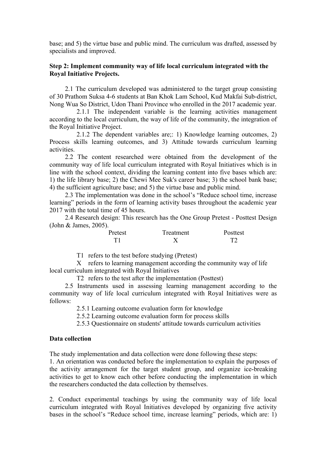base; and 5) the virtue base and public mind. The curriculum was drafted, assessed by specialists and improved.

## **Step 2: Implement community way of life local curriculum integrated with the Royal Initiative Projects.**

2.1 The curriculum developed was administered to the target group consisting of 30 Prathom Suksa 4-6 students at Ban Khok Lam School, Kud Makfai Sub-district, Nong Wua So District, Udon Thani Province who enrolled in the 2017 academic year.

2.1.1 The independent variable is the learning activities management according to the local curriculum, the way of life of the community, the integration of the Royal Initiative Project.

2.1.2 The dependent variables are;: 1) Knowledge learning outcomes, 2) Process skills learning outcomes, and 3) Attitude towards curriculum learning activities.

2.2 The content researched were obtained from the development of the community way of life local curriculum integrated with Royal Initiatives which is in line with the school context, dividing the learning content into five bases which are: 1) the life library base; 2) the Chewi Mee Suk's career base; 3) the school bank base; 4) the sufficient agriculture base; and 5) the virtue base and public mind.

2.3 The implementation was done in the school's "Reduce school time, increase learning" periods in the form of learning activity bases throughout the academic year 2017 with the total time of 45 hours.

2.4 Research design: This research has the One Group Pretest - Posttest Design (John & James, 2005).

| Pretest | Treatment | Posttest |
|---------|-----------|----------|
| T1      |           | T2       |

T1 refers to the test before studying (Pretest)

X refers to learning management according the community way of life local curriculum integrated with Royal Initiatives

T2 refers to the test after the implementation (Posttest)

2.5 Instruments used in assessing learning management according to the community way of life local curriculum integrated with Royal Initiatives were as follows:

2.5.1 Learning outcome evaluation form for knowledge

2.5.2 Learning outcome evaluation form for process skills

2.5.3 Questionnaire on students' attitude towards curriculum activities

### **Data collection**

The study implementation and data collection were done following these steps:

1. An orientation was conducted before the implementation to explain the purposes of the activity arrangement for the target student group, and organize ice-breaking activities to get to know each other before conducting the implementation in which the researchers conducted the data collection by themselves.

2. Conduct experimental teachings by using the community way of life local curriculum integrated with Royal Initiatives developed by organizing five activity bases in the school's "Reduce school time, increase learning" periods, which are: 1)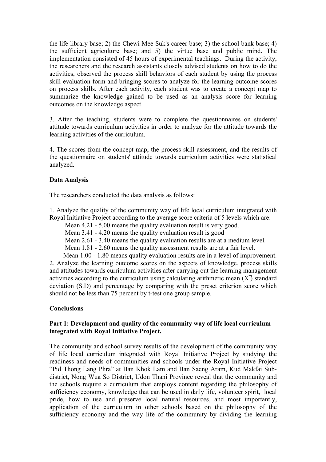the life library base; 2) the Chewi Mee Suk's career base; 3) the school bank base; 4) the sufficient agriculture base; and 5) the virtue base and public mind. The implementation consisted of 45 hours of experimental teachings. During the activity, the researchers and the research assistants closely advised students on how to do the activities, observed the process skill behaviors of each student by using the process skill evaluation form and bringing scores to analyze for the learning outcome scores on process skills. After each activity, each student was to create a concept map to summarize the knowledge gained to be used as an analysis score for learning outcomes on the knowledge aspect.

3. After the teaching, students were to complete the questionnaires on students' attitude towards curriculum activities in order to analyze for the attitude towards the learning activities of the curriculum.

4. The scores from the concept map, the process skill assessment, and the results of the questionnaire on students' attitude towards curriculum activities were statistical analyzed.

# **Data Analysis**

The researchers conducted the data analysis as follows:

1. Analyze the quality of the community way of life local curriculum integrated with Royal Initiative Project according to the average score criteria of 5 levels which are:

Mean 4.21 - 5.00 means the quality evaluation result is very good.

Mean 3.41 - 4.20 means the quality evaluation result is good

Mean 2.61 - 3.40 means the quality evaluation results are at a medium level.

Mean 1.81 - 2.60 means the quality assessment results are at a fair level.

Mean 1.00 - 1.80 means quality evaluation results are in a level of improvement. 2. Analyze the learning outcome scores on the aspects of knowledge, process skills and attitudes towards curriculum activities after carrying out the learning management activities according to the curriculum using calculating arithmetic mean  $(X)$  standard deviation (S.D) and percentage by comparing with the preset criterion score which should not be less than 75 percent by t-test one group sample.

# **Conclusions**

# **Part 1: Development and quality of the community way of life local curriculum integrated with Royal Initiative Project.**

The community and school survey results of the development of the community way of life local curriculum integrated with Royal Initiative Project by studying the readiness and needs of communities and schools under the Royal Initiative Project "Pid Thong Lang Phra" at Ban Khok Lam and Ban Saeng Aram, Kud Makfai Subdistrict, Nong Wua So District, Udon Thani Province reveal that the community and the schools require a curriculum that employs content regarding the philosophy of sufficiency economy, knowledge that can be used in daily life, volunteer spirit, local pride, how to use and preserve local natural resources, and most importantly, application of the curriculum in other schools based on the philosophy of the sufficiency economy and the way life of the community by dividing the learning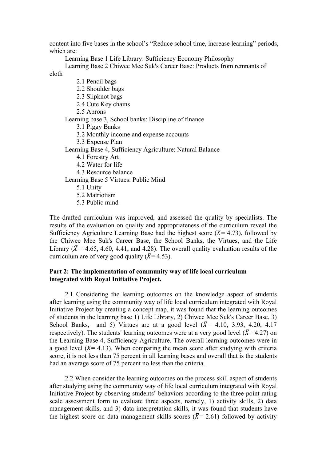content into five bases in the school's "Reduce school time, increase learning" periods, which are:

Learning Base 1 Life Library: Sufficiency Economy Philosophy

Learning Base 2 Chiwee Mee Suk's Career Base: Products from remnants of cloth

- 2.1 Pencil bags
- 2.2 Shoulder bags
- 2.3 Slipknot bags
- 2.4 Cute Key chains
- 2.5 Aprons

Learning base 3, School banks: Discipline of finance

- 3.1 Piggy Banks
- 3.2 Monthly income and expense accounts
- 3.3 Expense Plan

Learning Base 4, Sufficiency Agriculture: Natural Balance

- 4.1 Forestry Art
- 4.2 Water for life
- 4.3 Resource balance

Learning Base 5 Virtues: Public Mind

- 5.1 Unity
- 5.2 Matriotism
- 5.3 Public mind

The drafted curriculum was improved, and assessed the quality by specialists. The results of the evaluation on quality and appropriateness of the curriculum reveal the Sufficiency Agriculture Learning Base had the highest score ( $\overline{X}$ = 4.73), followed by the Chiwee Mee Suk's Career Base, the School Banks, the Virtues, and the Life Library ( $\overline{X}$  = 4.65, 4.60, 4.41, and 4.28). The overall quality evaluation results of the curriculum are of very good quality  $({\overline{X}} = 4.53)$ .

## **Part 2: The implementation of community way of life local curriculum integrated with Royal Initiative Project.**

2.1 Considering the learning outcomes on the knowledge aspect of students after learning using the community way of life local curriculum integrated with Royal Initiative Project by creating a concept map, it was found that the learning outcomes of students in the learning base 1) Life Library, 2) Chiwee Mee Suk's Career Base, 3) School Banks, and 5) Virtues are at a good level  $(\overline{X} = 4.10, 3.93, 4.20, 4.17)$ respectively). The students' learning outcomes were at a very good level ( $\bar{X}$ = 4.27) on the Learning Base 4, Sufficiency Agriculture. The overall learning outcomes were in a good level ( $\bar{X}$ = 4.13). When comparing the mean score after studying with criteria score, it is not less than 75 percent in all learning bases and overall that is the students had an average score of 75 percent no less than the criteria.

2.2 When consider the learning outcomes on the process skill aspect of students after studying using the community way of life local curriculum integrated with Royal Initiative Project by observing students' behaviors according to the three-point rating scale assessment form to evaluate three aspects, namely, 1) activity skills, 2) data management skills, and 3) data interpretation skills, it was found that students have the highest score on data management skills scores ( $\bar{X}$ = 2.61) followed by activity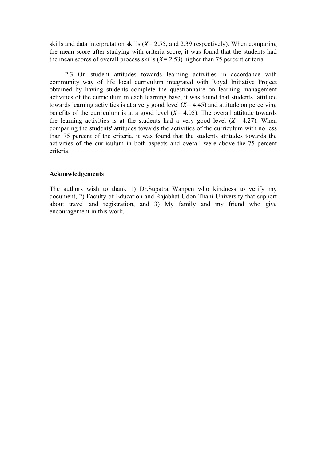skills and data interpretation skills ( $\bar{X}$ = 2.55, and 2.39 respectively). When comparing the mean score after studying with criteria score, it was found that the students had the mean scores of overall process skills ( $\bar{X}$ = 2.53) higher than 75 percent criteria.

2.3 On student attitudes towards learning activities in accordance with community way of life local curriculum integrated with Royal Initiative Project obtained by having students complete the questionnaire on learning management activities of the curriculum in each learning base, it was found that students' attitude towards learning activities is at a very good level  $({\overline{X}} = 4.45)$  and attitude on perceiving benefits of the curriculum is at a good level ( $\bar{X}$ = 4.05). The overall attitude towards the learning activities is at the students had a very good level ( $\bar{X}$ = 4.27). When comparing the students' attitudes towards the activities of the curriculum with no less than 75 percent of the criteria, it was found that the students attitudes towards the activities of the curriculum in both aspects and overall were above the 75 percent criteria.

#### **Acknowledgements**

The authors wish to thank 1) Dr.Supatra Wanpen who kindness to verify my document, 2) Faculty of Education and Rajabhat Udon Thani University that support about travel and registration, and 3) My family and my friend who give encouragement in this work.